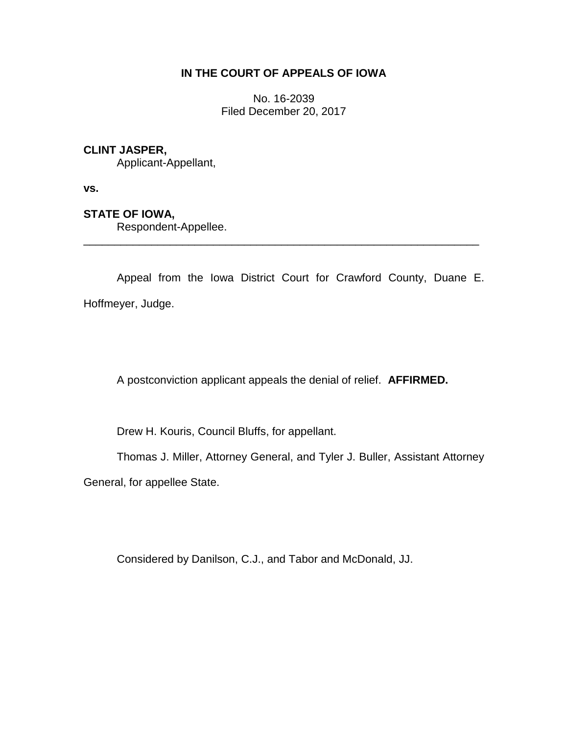# **IN THE COURT OF APPEALS OF IOWA**

No. 16-2039 Filed December 20, 2017

# **CLINT JASPER,**

Applicant-Appellant,

**vs.**

# **STATE OF IOWA,**

Respondent-Appellee.

Appeal from the Iowa District Court for Crawford County, Duane E. Hoffmeyer, Judge.

\_\_\_\_\_\_\_\_\_\_\_\_\_\_\_\_\_\_\_\_\_\_\_\_\_\_\_\_\_\_\_\_\_\_\_\_\_\_\_\_\_\_\_\_\_\_\_\_\_\_\_\_\_\_\_\_\_\_\_\_\_\_\_\_

A postconviction applicant appeals the denial of relief. **AFFIRMED.**

Drew H. Kouris, Council Bluffs, for appellant.

Thomas J. Miller, Attorney General, and Tyler J. Buller, Assistant Attorney

General, for appellee State.

Considered by Danilson, C.J., and Tabor and McDonald, JJ.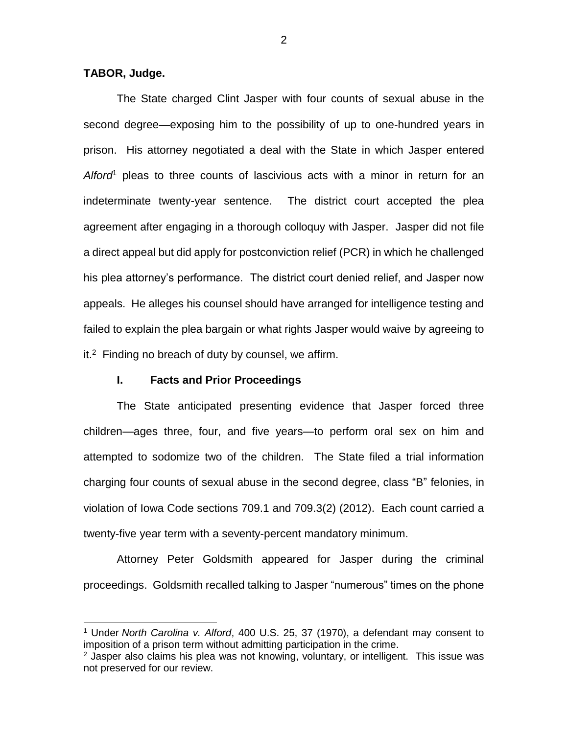**TABOR, Judge.**

 $\overline{a}$ 

The State charged Clint Jasper with four counts of sexual abuse in the second degree—exposing him to the possibility of up to one-hundred years in prison. His attorney negotiated a deal with the State in which Jasper entered *Alford*<sup>1</sup> pleas to three counts of lascivious acts with a minor in return for an indeterminate twenty-year sentence. The district court accepted the plea agreement after engaging in a thorough colloquy with Jasper. Jasper did not file a direct appeal but did apply for postconviction relief (PCR) in which he challenged his plea attorney's performance. The district court denied relief, and Jasper now appeals. He alleges his counsel should have arranged for intelligence testing and failed to explain the plea bargain or what rights Jasper would waive by agreeing to it.<sup>2</sup> Finding no breach of duty by counsel, we affirm.

#### **I. Facts and Prior Proceedings**

The State anticipated presenting evidence that Jasper forced three children—ages three, four, and five years—to perform oral sex on him and attempted to sodomize two of the children. The State filed a trial information charging four counts of sexual abuse in the second degree, class "B" felonies, in violation of Iowa Code sections 709.1 and 709.3(2) (2012). Each count carried a twenty-five year term with a seventy-percent mandatory minimum.

Attorney Peter Goldsmith appeared for Jasper during the criminal proceedings. Goldsmith recalled talking to Jasper "numerous" times on the phone

<sup>1</sup> Under *North Carolina v. Alford*, 400 U.S. 25, 37 (1970), a defendant may consent to imposition of a prison term without admitting participation in the crime.

 $2$  Jasper also claims his plea was not knowing, voluntary, or intelligent. This issue was not preserved for our review.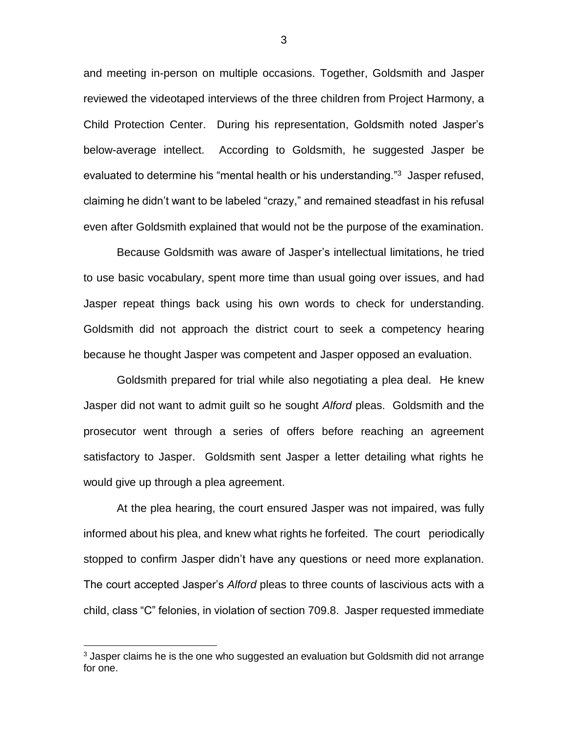and meeting in-person on multiple occasions. Together, Goldsmith and Jasper reviewed the videotaped interviews of the three children from Project Harmony, a Child Protection Center. During his representation, Goldsmith noted Jasper's below-average intellect. According to Goldsmith, he suggested Jasper be evaluated to determine his "mental health or his understanding."<sup>3</sup> Jasper refused, claiming he didn't want to be labeled "crazy," and remained steadfast in his refusal even after Goldsmith explained that would not be the purpose of the examination.

Because Goldsmith was aware of Jasper's intellectual limitations, he tried to use basic vocabulary, spent more time than usual going over issues, and had Jasper repeat things back using his own words to check for understanding. Goldsmith did not approach the district court to seek a competency hearing because he thought Jasper was competent and Jasper opposed an evaluation.

Goldsmith prepared for trial while also negotiating a plea deal. He knew Jasper did not want to admit guilt so he sought *Alford* pleas. Goldsmith and the prosecutor went through a series of offers before reaching an agreement satisfactory to Jasper. Goldsmith sent Jasper a letter detailing what rights he would give up through a plea agreement.

At the plea hearing, the court ensured Jasper was not impaired, was fully informed about his plea, and knew what rights he forfeited. The court periodically stopped to confirm Jasper didn't have any questions or need more explanation. The court accepted Jasper's *Alford* pleas to three counts of lascivious acts with a child, class "C" felonies, in violation of section 709.8. Jasper requested immediate

 $\overline{a}$ 

<sup>&</sup>lt;sup>3</sup> Jasper claims he is the one who suggested an evaluation but Goldsmith did not arrange for one.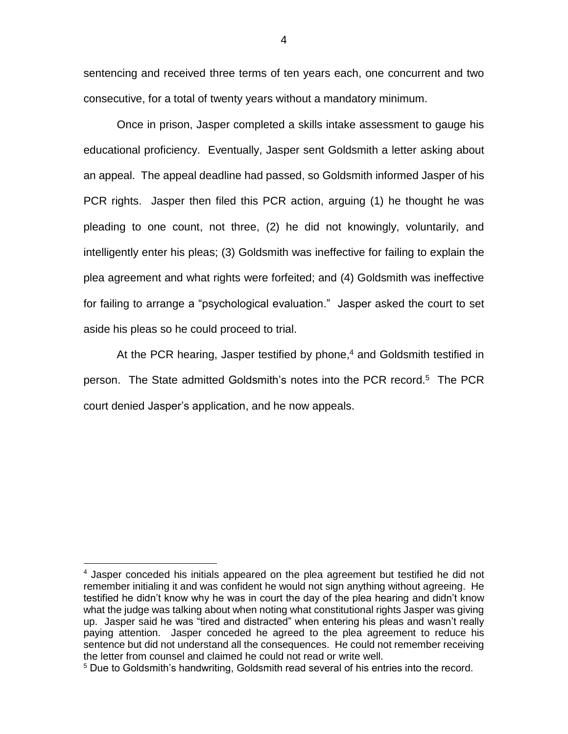sentencing and received three terms of ten years each, one concurrent and two consecutive, for a total of twenty years without a mandatory minimum.

Once in prison, Jasper completed a skills intake assessment to gauge his educational proficiency. Eventually, Jasper sent Goldsmith a letter asking about an appeal. The appeal deadline had passed, so Goldsmith informed Jasper of his PCR rights. Jasper then filed this PCR action, arguing (1) he thought he was pleading to one count, not three, (2) he did not knowingly, voluntarily, and intelligently enter his pleas; (3) Goldsmith was ineffective for failing to explain the plea agreement and what rights were forfeited; and (4) Goldsmith was ineffective for failing to arrange a "psychological evaluation." Jasper asked the court to set aside his pleas so he could proceed to trial.

At the PCR hearing, Jasper testified by phone, <sup>4</sup> and Goldsmith testified in person. The State admitted Goldsmith's notes into the PCR record.<sup>5</sup> The PCR court denied Jasper's application, and he now appeals.

 $\overline{a}$ 

<sup>&</sup>lt;sup>4</sup> Jasper conceded his initials appeared on the plea agreement but testified he did not remember initialing it and was confident he would not sign anything without agreeing. He testified he didn't know why he was in court the day of the plea hearing and didn't know what the judge was talking about when noting what constitutional rights Jasper was giving up. Jasper said he was "tired and distracted" when entering his pleas and wasn't really paying attention. Jasper conceded he agreed to the plea agreement to reduce his sentence but did not understand all the consequences. He could not remember receiving the letter from counsel and claimed he could not read or write well.

<sup>&</sup>lt;sup>5</sup> Due to Goldsmith's handwriting, Goldsmith read several of his entries into the record.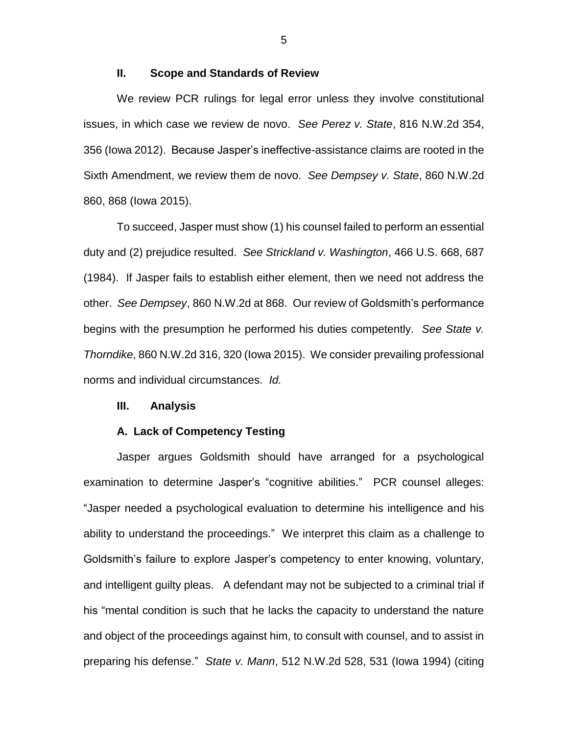### **II. Scope and Standards of Review**

We review PCR rulings for legal error unless they involve constitutional issues, in which case we review de novo. *See Perez v. State*, 816 N.W.2d 354, 356 (Iowa 2012). Because Jasper's ineffective-assistance claims are rooted in the Sixth Amendment, we review them de novo. *See Dempsey v. State*, 860 N.W.2d 860, 868 (Iowa 2015).

To succeed, Jasper must show (1) his counsel failed to perform an essential duty and (2) prejudice resulted. *See Strickland v. Washington*, 466 U.S. 668, 687 (1984). If Jasper fails to establish either element, then we need not address the other. *See Dempsey*, 860 N.W.2d at 868. Our review of Goldsmith's performance begins with the presumption he performed his duties competently. *See State v. Thorndike*, 860 N.W.2d 316, 320 (Iowa 2015). We consider prevailing professional norms and individual circumstances. *Id.*

#### **III. Analysis**

#### **A. Lack of Competency Testing**

Jasper argues Goldsmith should have arranged for a psychological examination to determine Jasper's "cognitive abilities." PCR counsel alleges: "Jasper needed a psychological evaluation to determine his intelligence and his ability to understand the proceedings." We interpret this claim as a challenge to Goldsmith's failure to explore Jasper's competency to enter knowing, voluntary, and intelligent guilty pleas. A defendant may not be subjected to a criminal trial if his "mental condition is such that he lacks the capacity to understand the nature and object of the proceedings against him, to consult with counsel, and to assist in preparing his defense." *State v. Mann*, 512 N.W.2d 528, 531 (Iowa 1994) (citing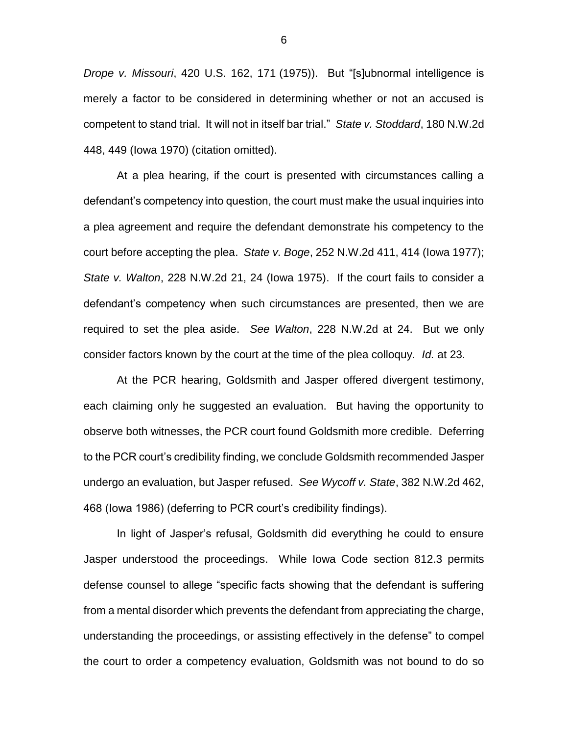*Drope v. Missouri*, 420 U.S. 162, 171 (1975)). But "[s]ubnormal intelligence is merely a factor to be considered in determining whether or not an accused is competent to stand trial. It will not in itself bar trial." *State v. Stoddard*, 180 N.W.2d 448, 449 (Iowa 1970) (citation omitted).

At a plea hearing, if the court is presented with circumstances calling a defendant's competency into question, the court must make the usual inquiries into a plea agreement and require the defendant demonstrate his competency to the court before accepting the plea. *State v. Boge*, 252 N.W.2d 411, 414 (Iowa 1977); *State v. Walton*, 228 N.W.2d 21, 24 (Iowa 1975). If the court fails to consider a defendant's competency when such circumstances are presented, then we are required to set the plea aside. *See Walton*, 228 N.W.2d at 24. But we only consider factors known by the court at the time of the plea colloquy. *Id.* at 23.

At the PCR hearing, Goldsmith and Jasper offered divergent testimony, each claiming only he suggested an evaluation. But having the opportunity to observe both witnesses, the PCR court found Goldsmith more credible. Deferring to the PCR court's credibility finding, we conclude Goldsmith recommended Jasper undergo an evaluation, but Jasper refused. *See Wycoff v. State*, 382 N.W.2d 462, 468 (Iowa 1986) (deferring to PCR court's credibility findings).

In light of Jasper's refusal, Goldsmith did everything he could to ensure Jasper understood the proceedings. While Iowa Code section 812.3 permits defense counsel to allege "specific facts showing that the defendant is suffering from a mental disorder which prevents the defendant from appreciating the charge, understanding the proceedings, or assisting effectively in the defense" to compel the court to order a competency evaluation, Goldsmith was not bound to do so

6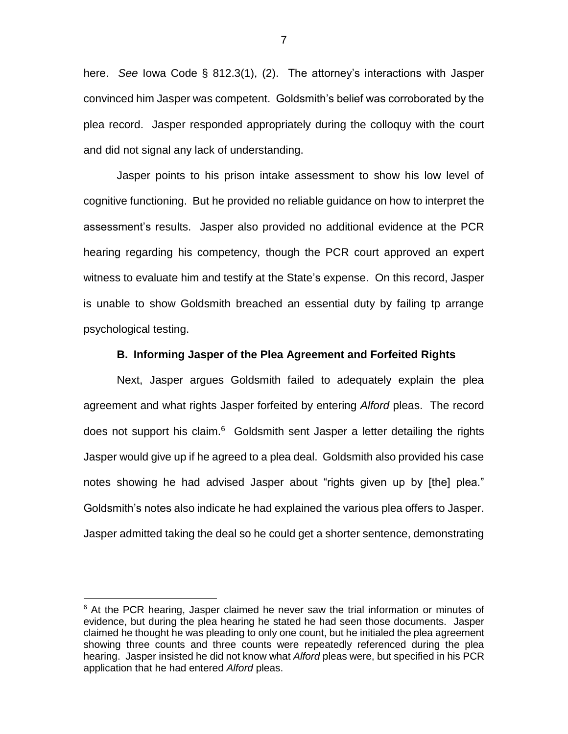here. *See* Iowa Code § 812.3(1), (2). The attorney's interactions with Jasper convinced him Jasper was competent. Goldsmith's belief was corroborated by the plea record. Jasper responded appropriately during the colloquy with the court and did not signal any lack of understanding.

Jasper points to his prison intake assessment to show his low level of cognitive functioning. But he provided no reliable guidance on how to interpret the assessment's results. Jasper also provided no additional evidence at the PCR hearing regarding his competency, though the PCR court approved an expert witness to evaluate him and testify at the State's expense. On this record, Jasper is unable to show Goldsmith breached an essential duty by failing tp arrange psychological testing.

### **B. Informing Jasper of the Plea Agreement and Forfeited Rights**

Next, Jasper argues Goldsmith failed to adequately explain the plea agreement and what rights Jasper forfeited by entering *Alford* pleas. The record does not support his claim.<sup>6</sup> Goldsmith sent Jasper a letter detailing the rights Jasper would give up if he agreed to a plea deal. Goldsmith also provided his case notes showing he had advised Jasper about "rights given up by [the] plea." Goldsmith's notes also indicate he had explained the various plea offers to Jasper. Jasper admitted taking the deal so he could get a shorter sentence, demonstrating

 $\overline{a}$ 

7

 $6$  At the PCR hearing, Jasper claimed he never saw the trial information or minutes of evidence, but during the plea hearing he stated he had seen those documents. Jasper claimed he thought he was pleading to only one count, but he initialed the plea agreement showing three counts and three counts were repeatedly referenced during the plea hearing. Jasper insisted he did not know what *Alford* pleas were, but specified in his PCR application that he had entered *Alford* pleas.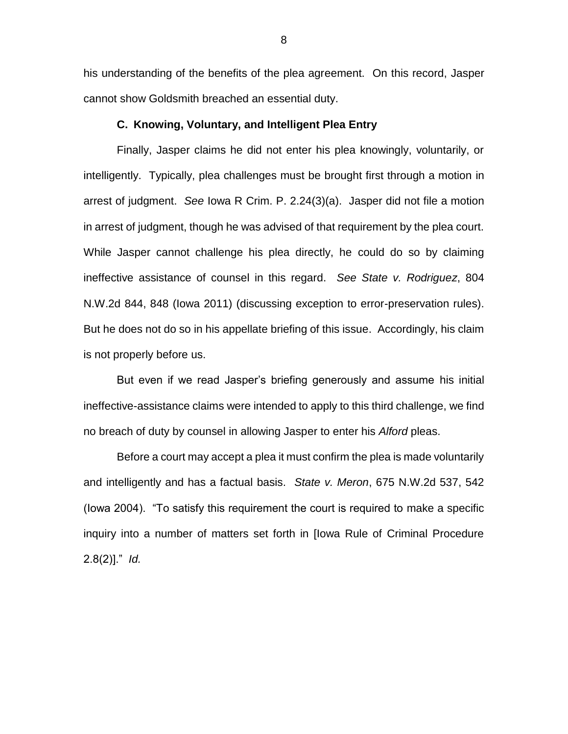his understanding of the benefits of the plea agreement. On this record, Jasper cannot show Goldsmith breached an essential duty.

# **C. Knowing, Voluntary, and Intelligent Plea Entry**

Finally, Jasper claims he did not enter his plea knowingly, voluntarily, or intelligently. Typically, plea challenges must be brought first through a motion in arrest of judgment. *See* Iowa R Crim. P. 2.24(3)(a). Jasper did not file a motion in arrest of judgment, though he was advised of that requirement by the plea court. While Jasper cannot challenge his plea directly, he could do so by claiming ineffective assistance of counsel in this regard. *See State v. Rodriguez*, 804 N.W.2d 844, 848 (Iowa 2011) (discussing exception to error-preservation rules). But he does not do so in his appellate briefing of this issue. Accordingly, his claim is not properly before us.

But even if we read Jasper's briefing generously and assume his initial ineffective-assistance claims were intended to apply to this third challenge, we find no breach of duty by counsel in allowing Jasper to enter his *Alford* pleas.

Before a court may accept a plea it must confirm the plea is made voluntarily and intelligently and has a factual basis. *State v. Meron*, 675 N.W.2d 537, 542 (Iowa 2004). "To satisfy this requirement the court is required to make a specific inquiry into a number of matters set forth in [Iowa Rule of Criminal Procedure 2.8(2)]." *Id.*